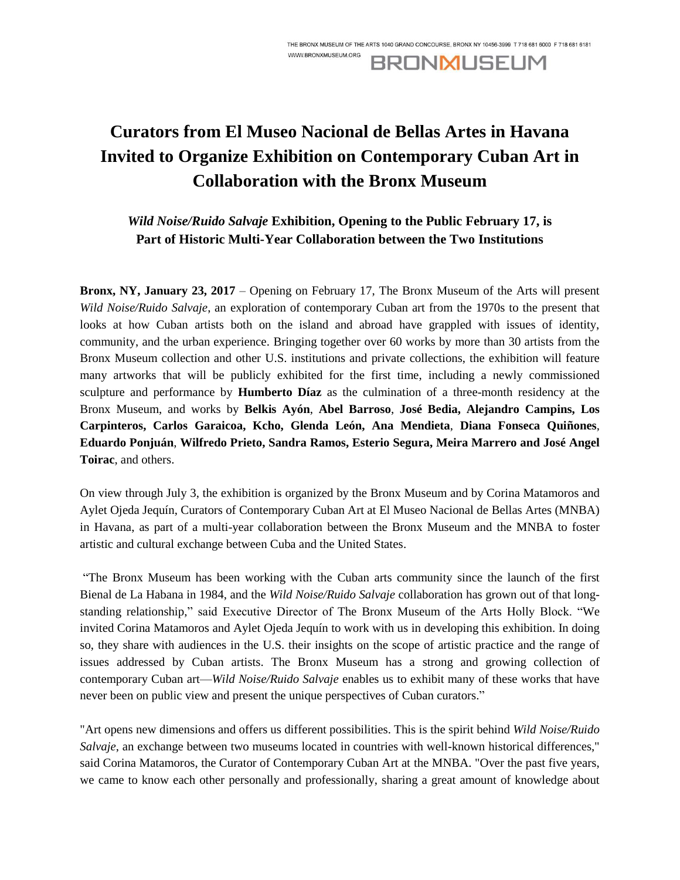# **Curators from El Museo Nacional de Bellas Artes in Havana Invited to Organize Exhibition on Contemporary Cuban Art in Collaboration with the Bronx Museum**

## *Wild Noise/Ruido Salvaje* **Exhibition, Opening to the Public February 17, is Part of Historic Multi-Year Collaboration between the Two Institutions**

**Bronx, NY, January 23, 2017** – Opening on February 17, The Bronx Museum of the Arts will present *Wild Noise/Ruido Salvaje*, an exploration of contemporary Cuban art from the 1970s to the present that looks at how Cuban artists both on the island and abroad have grappled with issues of identity, community, and the urban experience. Bringing together over 60 works by more than 30 artists from the Bronx Museum collection and other U.S. institutions and private collections, the exhibition will feature many artworks that will be publicly exhibited for the first time, including a newly commissioned sculpture and performance by **Humberto Díaz** as the culmination of a three-month residency at the Bronx Museum, and works by **Belkis Ayón**, **Abel Barroso**, **José Bedia, Alejandro Campins, Los Carpinteros, Carlos Garaicoa, Kcho, Glenda León, Ana Mendieta**, **Diana Fonseca Quiñones**, **Eduardo Ponjuán**, **Wilfredo Prieto, Sandra Ramos, Esterio Segura, Meira Marrero and José Angel Toirac**, and others.

On view through July 3, the exhibition is organized by the Bronx Museum and by Corina Matamoros and Aylet Ojeda Jequín, Curators of Contemporary Cuban Art at El Museo Nacional de Bellas Artes (MNBA) in Havana, as part of a multi-year collaboration between the Bronx Museum and the MNBA to foster artistic and cultural exchange between Cuba and the United States.

"The Bronx Museum has been working with the Cuban arts community since the launch of the first Bienal de La Habana in 1984, and the *Wild Noise/Ruido Salvaje* collaboration has grown out of that longstanding relationship," said Executive Director of The Bronx Museum of the Arts Holly Block. "We invited Corina Matamoros and Aylet Ojeda Jequín to work with us in developing this exhibition. In doing so, they share with audiences in the U.S. their insights on the scope of artistic practice and the range of issues addressed by Cuban artists. The Bronx Museum has a strong and growing collection of contemporary Cuban art—*Wild Noise/Ruido Salvaje* enables us to exhibit many of these works that have never been on public view and present the unique perspectives of Cuban curators."

"Art opens new dimensions and offers us different possibilities. This is the spirit behind *Wild Noise/Ruido Salvaje*, an exchange between two museums located in countries with well-known historical differences," said Corina Matamoros, the Curator of Contemporary Cuban Art at the MNBA. "Over the past five years, we came to know each other personally and professionally, sharing a great amount of knowledge about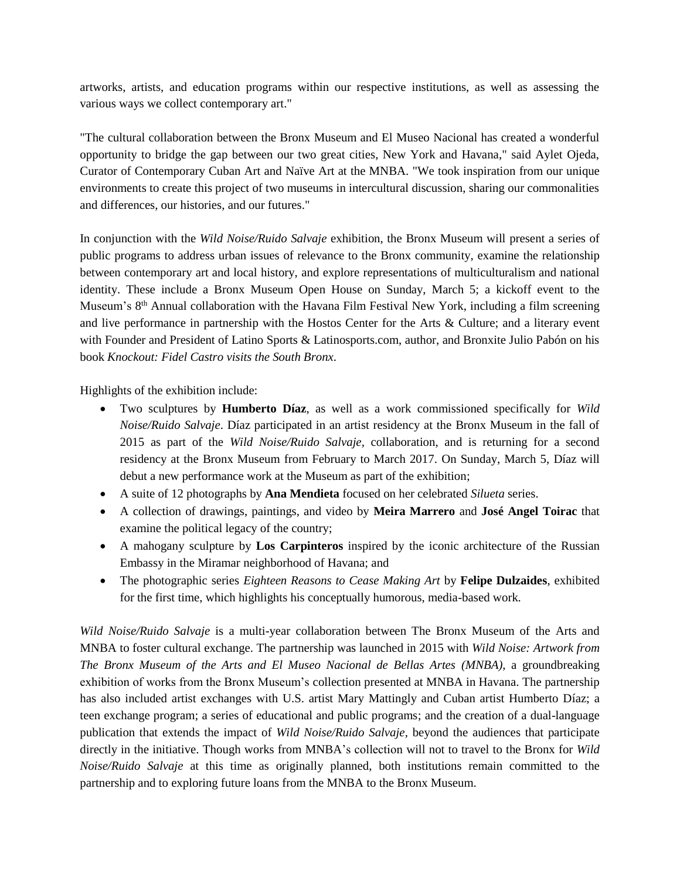artworks, artists, and education programs within our respective institutions, as well as assessing the various ways we collect contemporary art."

"The cultural collaboration between the Bronx Museum and El Museo Nacional has created a wonderful opportunity to bridge the gap between our two great cities, New York and Havana," said Aylet Ojeda, Curator of Contemporary Cuban Art and Naïve Art at the MNBA. "We took inspiration from our unique environments to create this project of two museums in intercultural discussion, sharing our commonalities and differences, our histories, and our futures."

In conjunction with the *Wild Noise/Ruido Salvaje* exhibition, the Bronx Museum will present a series of public programs to address urban issues of relevance to the Bronx community, examine the relationship between contemporary art and local history, and explore representations of multiculturalism and national identity. These include a Bronx Museum Open House on Sunday, March 5; a kickoff event to the Museum's 8<sup>th</sup> Annual collaboration with the Havana Film Festival New York, including a film screening and live performance in partnership with the Hostos Center for the Arts & Culture; and a literary event with Founder and President of Latino Sports & Latinosports.com, author, and Bronxite Julio Pabón on his book *Knockout: Fidel Castro visits the South Bronx*.

Highlights of the exhibition include:

- Two sculptures by **Humberto Díaz**, as well as a work commissioned specifically for *Wild Noise/Ruido Salvaje*. Díaz participated in an artist residency at the Bronx Museum in the fall of 2015 as part of the *Wild Noise/Ruido Salvaje*, collaboration, and is returning for a second residency at the Bronx Museum from February to March 2017. On Sunday, March 5, Díaz will debut a new performance work at the Museum as part of the exhibition;
- A suite of 12 photographs by **Ana Mendieta** focused on her celebrated *Silueta* series.
- A collection of drawings, paintings, and video by **Meira Marrero** and **José Angel Toirac** that examine the political legacy of the country;
- A mahogany sculpture by **Los Carpinteros** inspired by the iconic architecture of the Russian Embassy in the Miramar neighborhood of Havana; and
- The photographic series *Eighteen Reasons to Cease Making Art* by **Felipe Dulzaides**, exhibited for the first time, which highlights his conceptually humorous, media-based work.

*Wild Noise/Ruido Salvaje* is a multi-year collaboration between The Bronx Museum of the Arts and MNBA to foster cultural exchange. The partnership was launched in 2015 with *Wild Noise: Artwork from The Bronx Museum of the Arts and El Museo Nacional de Bellas Artes (MNBA)*, a groundbreaking exhibition of works from the Bronx Museum's collection presented at MNBA in Havana. The partnership has also included artist exchanges with U.S. artist Mary Mattingly and Cuban artist Humberto Díaz; a teen exchange program; a series of educational and public programs; and the creation of a dual-language publication that extends the impact of *Wild Noise/Ruido Salvaje*, beyond the audiences that participate directly in the initiative. Though works from MNBA's collection will not to travel to the Bronx for *Wild Noise/Ruido Salvaje* at this time as originally planned, both institutions remain committed to the partnership and to exploring future loans from the MNBA to the Bronx Museum.